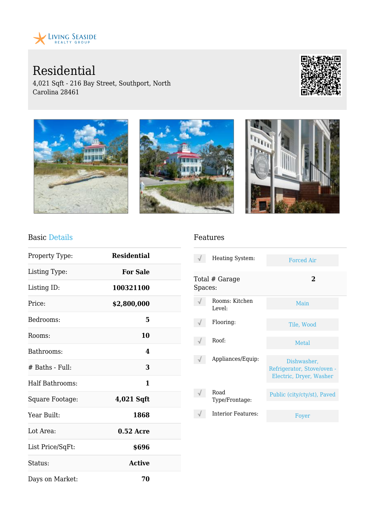

Residential

4,021 Sqft - 216 Bay Street, Southport, North Carolina 28461





### Basic Details

| Property Type:   | <b>Residential</b> |  |
|------------------|--------------------|--|
| Listing Type:    | <b>For Sale</b>    |  |
| Listing ID:      | 100321100          |  |
| Price:           | \$2,800,000        |  |
| Bedrooms:        | 5                  |  |
| Rooms:           | 10                 |  |
| Bathrooms:       | 4                  |  |
| # Baths - Full:  | 3                  |  |
| Half Bathrooms:  | 1                  |  |
| Square Footage:  | 4,021 Sqft         |  |
| Year Built:      | 1868               |  |
| Lot Area:        | $0.52$ Acre        |  |
| List Price/SqFt: | \$696              |  |
| Status:          | <b>Active</b>      |  |
| Days on Market:  | 70                 |  |

#### Features

|         | Heating System:          | <b>Forced Air</b>                                                    |
|---------|--------------------------|----------------------------------------------------------------------|
| Spaces: | Total # Garage           | $\bf{2}$                                                             |
|         | Rooms: Kitchen<br>Level: | Main                                                                 |
|         | Flooring:                | Tile, Wood                                                           |
|         | Roof:                    | Metal                                                                |
|         | Appliances/Equip:        | Dishwasher,<br>Refrigerator, Stove/oven -<br>Electric, Dryer, Washer |
|         | Road<br>Type/Frontage:   | Public (city/cty/st), Paved                                          |
|         | Interior Features:       | Foyer                                                                |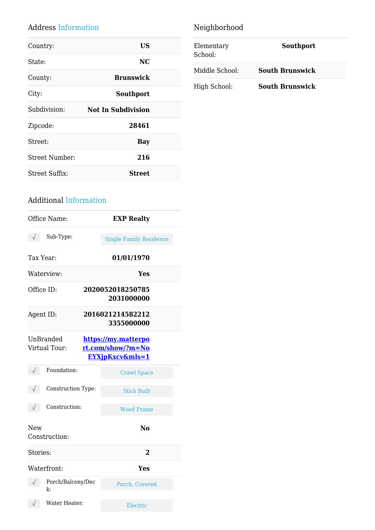## Address Information

| Country:       | <b>US</b>                 |
|----------------|---------------------------|
| State:         | <b>NC</b>                 |
| County:        | <b>Brunswick</b>          |
| City:          | Southport                 |
| Subdivision:   | <b>Not In Subdivision</b> |
| Zipcode:       | 28461                     |
| Street:        | Bay                       |
| Street Number: | 216                       |
| Street Suffix: | <b>Street</b>             |
|                |                           |

# Neighborhood

| Elementary<br>School: | Southport              |
|-----------------------|------------------------|
| Middle School:        | <b>South Brunswick</b> |
| High School:          | <b>South Brunswick</b> |

## Additional Information

|            | Office Name:               | <b>EXP Realty</b>                                                      |
|------------|----------------------------|------------------------------------------------------------------------|
|            | Sub-Type:                  | <b>Single Family Residence</b>                                         |
| Tax Year:  |                            | 01/01/1970                                                             |
|            | Waterview:                 | Yes                                                                    |
| Office ID: |                            | 2020052018250785<br>2031000000                                         |
| Agent ID:  |                            | 2016021214582212<br>3355000000                                         |
|            | UnBranded<br>Virtual Tour: | https://my.matterpo<br>rt.com/show/?m=No<br><b>EYXjpKxcv&amp;mls=1</b> |
|            | Foundation:                | <b>Crawl Space</b>                                                     |
|            | Construction Type:         | <b>Stick Built</b>                                                     |
|            | Construction:              | <b>Wood Frame</b>                                                      |
| New        | Construction:              | No                                                                     |
| Stories:   |                            | 2                                                                      |
|            | Waterfront:                | Yes                                                                    |
|            | Porch/Balcony/Dec<br>k:    | Porch, Covered                                                         |
|            | Water Heater:              | Electric                                                               |